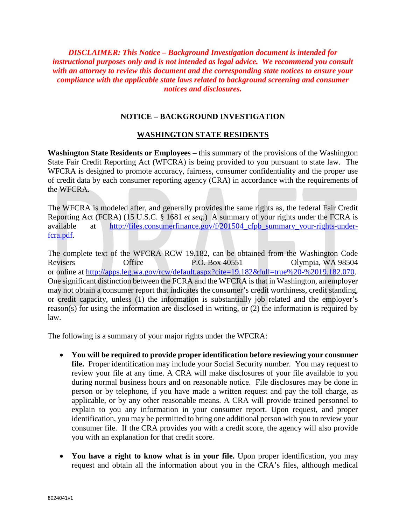*DISCLAIMER: This Notice – Background Investigation document is intended for instructional purposes only and is not intended as legal advice. We recommend you consult with an attorney to review this document and the corresponding state notices to ensure your compliance with the applicable state laws related to background screening and consumer notices and disclosures.*

## **NOTICE – BACKGROUND INVESTIGATION**

## **WASHINGTON STATE RESIDENTS**

**Washington State Residents or Employees** – this summary of the provisions of the Washington State Fair Credit Reporting Act (WFCRA) is being provided to you pursuant to state law. The WFCRA is designed to promote accuracy, fairness, consumer confidentiality and the proper use of credit data by each consumer reporting agency (CRA) in accordance with the requirements of the WFCRA.

The WFCRA is modeled after, and generally provides the same rights as, the federal Fair Credit Reporting Act (FCRA) (15 U.S.C. § 1681 *et seq.*) A summary of your rights under the FCRA is available at <u>http://files.consumerfinance.gov/f/201504\_cfpb\_summary\_your-rights-under-</u> [fcra.pdf.](http://files.consumerfinance.gov/f/201504_cfpb_summary_your-rights-under-fcra.pdf)

The complete text of the WFCRA RCW 19.182, can be obtained from the Washington Code Revisers Office P.O. Box 40551 Olympia, WA 98504 or online at [http://apps.leg.wa.gov/rcw/default.aspx?cite=19.182&full=true%20-%2019.182.070.](http://apps.leg.wa.gov/rcw/default.aspx?cite=19.182&full=true%20-%2019.182.070) One significant distinction between the FCRA and the WFCRA is that in Washington, an employer may not obtain a consumer report that indicates the consumer's credit worthiness, credit standing, or credit capacity, unless (1) the information is substantially job related and the employer's reason(s) for using the information are disclosed in writing, or (2) the information is required by law.

The following is a summary of your major rights under the WFCRA:

- **You will be required to provide proper identification before reviewing your consumer file.** Proper identification may include your Social Security number. You may request to review your file at any time. A CRA will make disclosures of your file available to you during normal business hours and on reasonable notice. File disclosures may be done in person or by telephone, if you have made a written request and pay the toll charge, as applicable, or by any other reasonable means. A CRA will provide trained personnel to explain to you any information in your consumer report. Upon request, and proper identification, you may be permitted to bring one additional person with you to review your consumer file. If the CRA provides you with a credit score, the agency will also provide you with an explanation for that credit score.
- You have a right to know what is in your file. Upon proper identification, you may request and obtain all the information about you in the CRA's files, although medical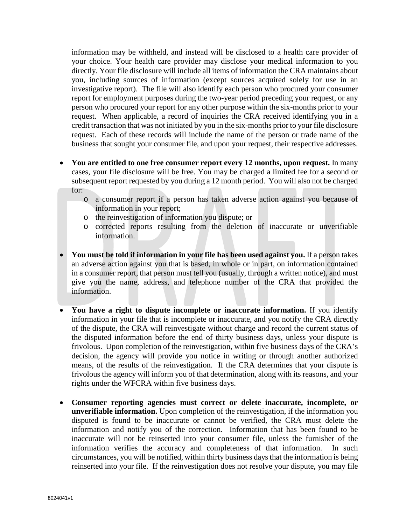information may be withheld, and instead will be disclosed to a health care provider of your choice. Your health care provider may disclose your medical information to you directly. Your file disclosure will include all items of information the CRA maintains about you, including sources of information (except sources acquired solely for use in an investigative report). The file will also identify each person who procured your consumer report for employment purposes during the two-year period preceding your request, or any person who procured your report for any other purpose within the six-months prior to your request. When applicable, a record of inquiries the CRA received identifying you in a credit transaction that was not initiated by you in the six-months prior to your file disclosure request. Each of these records will include the name of the person or trade name of the business that sought your consumer file, and upon your request, their respective addresses.

- **You are entitled to one free consumer report every 12 months, upon request.** In many cases, your file disclosure will be free. You may be charged a limited fee for a second or subsequent report requested by you during a 12 month period. You will also not be charged for:
	- o a consumer report if a person has taken adverse action against you because of information in your report;
	- o the reinvestigation of information you dispute; or
	- o corrected reports resulting from the deletion of inaccurate or unverifiable information.
- **You must be told if information in your file has been used against you.** If a person takes an adverse action against you that is based, in whole or in part, on information contained in a consumer report, that person must tell you (usually, through a written notice), and must give you the name, address, and telephone number of the CRA that provided the information.
- **You have a right to dispute incomplete or inaccurate information.** If you identify information in your file that is incomplete or inaccurate, and you notify the CRA directly of the dispute, the CRA will reinvestigate without charge and record the current status of the disputed information before the end of thirty business days, unless your dispute is frivolous. Upon completion of the reinvestigation, within five business days of the CRA's decision, the agency will provide you notice in writing or through another authorized means, of the results of the reinvestigation. If the CRA determines that your dispute is frivolous the agency will inform you of that determination, along with its reasons, and your rights under the WFCRA within five business days.
- **Consumer reporting agencies must correct or delete inaccurate, incomplete, or unverifiable information.** Upon completion of the reinvestigation, if the information you disputed is found to be inaccurate or cannot be verified, the CRA must delete the information and notify you of the correction. Information that has been found to be inaccurate will not be reinserted into your consumer file, unless the furnisher of the information verifies the accuracy and completeness of that information. In such circumstances, you will be notified, within thirty business days that the information is being reinserted into your file. If the reinvestigation does not resolve your dispute, you may file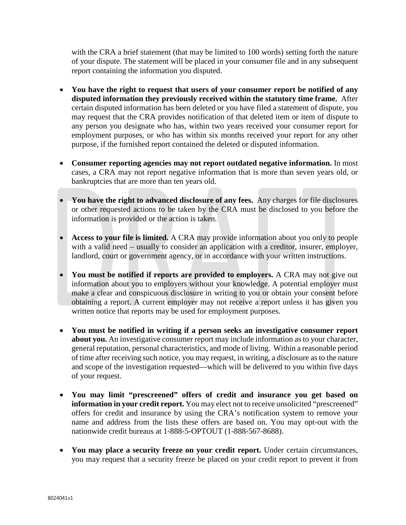with the CRA a brief statement (that may be limited to 100 words) setting forth the nature of your dispute. The statement will be placed in your consumer file and in any subsequent report containing the information you disputed.

- **You have the right to request that users of your consumer report be notified of any disputed information they previously received within the statutory time frame.** After certain disputed information has been deleted or you have filed a statement of dispute, you may request that the CRA provides notification of that deleted item or item of dispute to any person you designate who has, within two years received your consumer report for employment purposes, or who has within six months received your report for any other purpose, if the furnished report contained the deleted or disputed information.
- **Consumer reporting agencies may not report outdated negative information.** In most cases, a CRA may not report negative information that is more than seven years old, or bankruptcies that are more than ten years old.
- **You have the right to advanced disclosure of any fees.** Any charges for file disclosures or other requested actions to be taken by the CRA must be disclosed to you before the information is provided or the action is taken.
- **Access to your file is limited.** A CRA may provide information about you only to people with a valid need – usually to consider an application with a creditor, insurer, employer, landlord, court or government agency, or in accordance with your written instructions.
- **You must be notified if reports are provided to employers.** A CRA may not give out information about you to employers without your knowledge. A potential employer must make a clear and conspicuous disclosure in writing to you or obtain your consent before obtaining a report. A current employer may not receive a report unless it has given you written notice that reports may be used for employment purposes.
- **You must be notified in writing if a person seeks an investigative consumer report about you.** An investigative consumer report may include information as to your character, general reputation, personal characteristics, and mode of living. Within a reasonable period of time after receiving such notice, you may request, in writing, a disclosure as to the nature and scope of the investigation requested—which will be delivered to you within five days of your request.
- **You may limit "prescreened" offers of credit and insurance you get based on information in your credit report.** You may elect not to receive unsolicited "prescreened" offers for credit and insurance by using the CRA's notification system to remove your name and address from the lists these offers are based on. You may opt-out with the nationwide credit bureaus at 1-888-5-OPTOUT (1-888-567-8688).
- **You may place a security freeze on your credit report.** Under certain circumstances, you may request that a security freeze be placed on your credit report to prevent it from